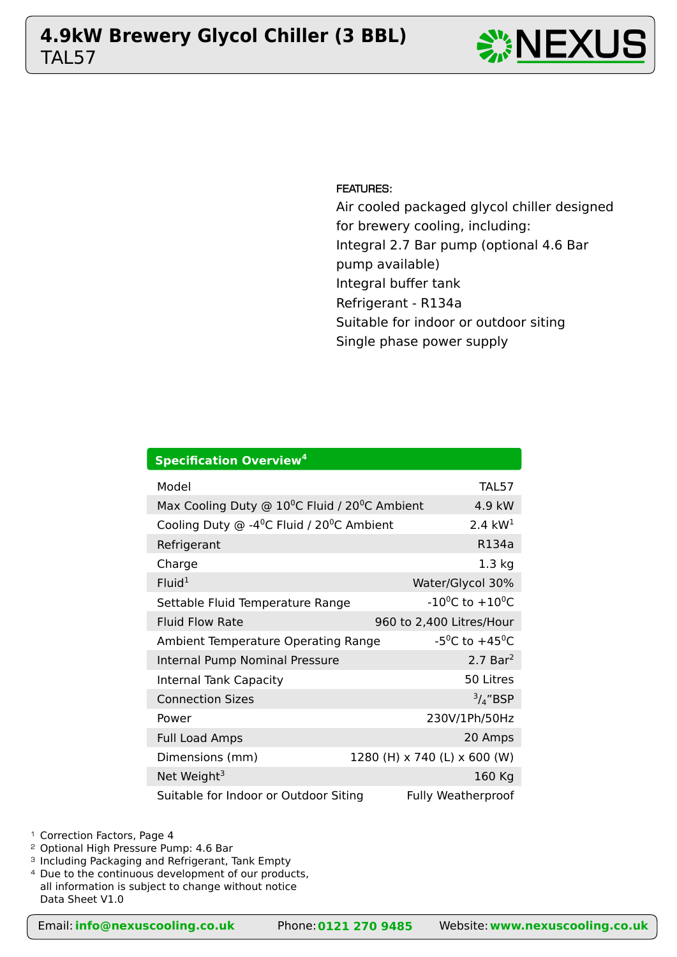# TAL57 **4.9kW Brewery Glycol Chiller (3 BBL)** NEXUS





FEATURES:

Air cooled packaged glycol chiller designed for brewery cooling, including: Integral 2.7 Bar pump (optional 4.6 Bar pump available) Integral buffer tank Refrigerant - R134a Suitable for indoor or outdoor siting Single phase power supply

| <b>Specification Overview<sup>4</sup></b>                                |                                         |  |  |  |  |  |  |  |  |  |
|--------------------------------------------------------------------------|-----------------------------------------|--|--|--|--|--|--|--|--|--|
| Model                                                                    | <b>TAL57</b>                            |  |  |  |  |  |  |  |  |  |
| Max Cooling Duty @ 10 <sup>o</sup> C Fluid / 20 <sup>o</sup> C Ambient   | $4.9$ kW                                |  |  |  |  |  |  |  |  |  |
| Cooling Duty $\odot$ -4 <sup>o</sup> C Fluid / 20 <sup>o</sup> C Ambient | 2.4 $kW1$                               |  |  |  |  |  |  |  |  |  |
| Refrigerant                                                              | R134a                                   |  |  |  |  |  |  |  |  |  |
| Charge                                                                   | $1.3$ kg                                |  |  |  |  |  |  |  |  |  |
| Fluid <sup>1</sup>                                                       | Water/Glycol 30%                        |  |  |  |  |  |  |  |  |  |
| Settable Fluid Temperature Range                                         | $-10^{0}$ C to $+10^{0}$ C              |  |  |  |  |  |  |  |  |  |
| <b>Fluid Flow Rate</b>                                                   | 960 to 2,400 Litres/Hour                |  |  |  |  |  |  |  |  |  |
| Ambient Temperature Operating Range                                      | -5 <sup>o</sup> C to +45 <sup>o</sup> C |  |  |  |  |  |  |  |  |  |
| Internal Pump Nominal Pressure                                           | $2.7$ Bar <sup>2</sup>                  |  |  |  |  |  |  |  |  |  |
| <b>Internal Tank Capacity</b>                                            | 50 Litres                               |  |  |  |  |  |  |  |  |  |
| <b>Connection Sizes</b>                                                  | $\frac{3}{4}$ "BSP                      |  |  |  |  |  |  |  |  |  |
| Power                                                                    | 230V/1Ph/50Hz                           |  |  |  |  |  |  |  |  |  |
| <b>Full Load Amps</b>                                                    | 20 Amps                                 |  |  |  |  |  |  |  |  |  |
| Dimensions (mm)                                                          | 1280 (H) x 740 (L) x 600 (W)            |  |  |  |  |  |  |  |  |  |
| Net Weight <sup>3</sup>                                                  | 160 Kg                                  |  |  |  |  |  |  |  |  |  |
| Suitable for Indoor or Outdoor Siting                                    | <b>Fully Weatherproof</b>               |  |  |  |  |  |  |  |  |  |

<sup>1</sup> Correction Factors, Page 4

<sup>2</sup> Optional High Pressure Pump: 4.6 Bar

- <sup>3</sup> Including Packaging and Refrigerant, Tank Empty
- <sup>4</sup> Due to the continuous development of our products, all information is subject to change without notice Data Sheet V1.0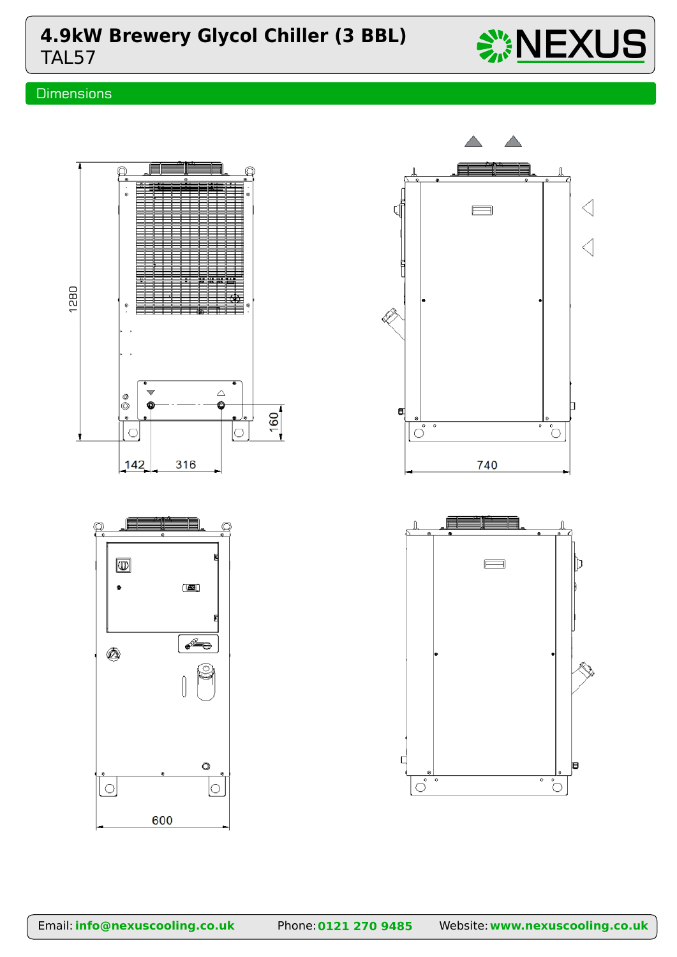# TAL57 **4.9kW Brewery Glycol Chiller (3 BBL)**  $\frac{100}{200} \text{NEXUS}$

## **Dimensions**



 $\begin{matrix} \end{matrix}$ 

600

 $\ddot{\circ}$ 

 $\circ$ 

Ø)

Īо

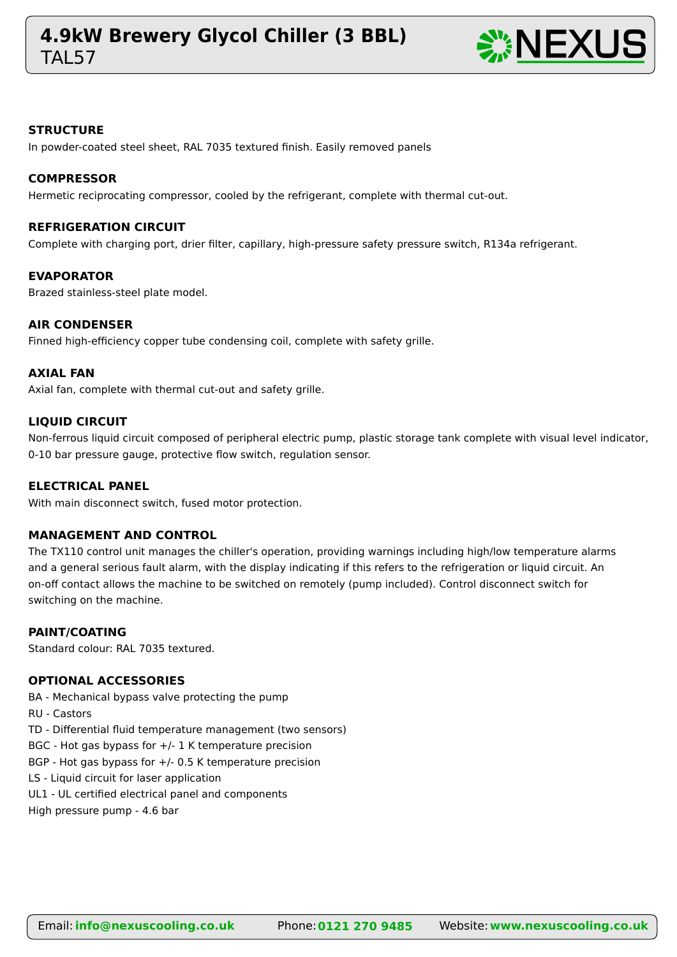## **TAI 57 4.9kW Brewery Glycol Chiller (3 BBL)** NEXUS



#### **STRUCTURE**

In powder-coated steel sheet, RAL 7035 textured finish. Easily removed panels

#### **COMPRESSOR**

Hermetic reciprocating compressor, cooled by the refrigerant, complete with thermal cut-out.

#### **REFRIGERATION CIRCUIT**

Complete with charging port, drier filter, capillary, high-pressure safety pressure switch, R134a refrigerant.

#### **EVAPORATOR**

Brazed stainless-steel plate model.

#### **AIR CONDENSER**

Finned high-efficiency copper tube condensing coil, complete with safety grille.

#### **AXIAL FAN**

Axial fan, complete with thermal cut-out and safety grille.

#### **LIQUID CIRCUIT**

Non-ferrous liquid circuit composed of peripheral electric pump, plastic storage tank complete with visual level indicator, 0-10 bar pressure gauge, protective flow switch, regulation sensor.

#### **ELECTRICAL PANEL**

With main disconnect switch, fused motor protection.

#### **MANAGEMENT AND CONTROL**

The TX110 control unit manages the chiller's operation, providing warnings including high/low temperature alarms and a general serious fault alarm, with the display indicating if this refers to the refrigeration or liquid circuit. An on-off contact allows the machine to be switched on remotely (pump included). Control disconnect switch for switching on the machine.

#### **PAINT/COATING**

Standard colour: RAL 7035 textured.

### **OPTIONAL ACCESSORIES**

BA - Mechanical bypass valve protecting the pump

RU - Castors

TD - Differential fluid temperature management (two sensors)

BGC - Hot gas bypass for  $+/$ - 1 K temperature precision

BGP - Hot gas bypass for +/- 0.5 K temperature precision

LS - Liquid circuit for laser application

UL1 - UL certified electrical panel and components

High pressure pump - 4.6 bar